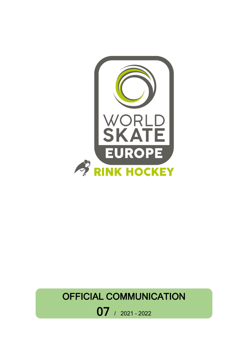

# OFFICIAL COMMUNICATION

07 / 2021 – <sup>2022</sup>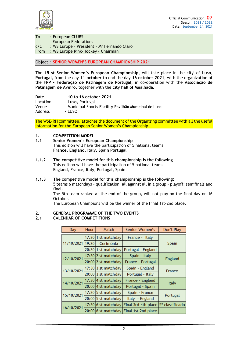

| To   | : European CLUBS                            |
|------|---------------------------------------------|
|      | <b>European Federations</b>                 |
| C/C  | : WS Europe - President - Mr Fernando Claro |
| From | : WS Europe Rink-Hockey - Chairman          |

#### Object : **SENIOR WOMEN'S EUROPEAN CHAMPIONSHIP 2021**

The **15 st Senior Women's European Championship**, will take place in the city' of **Luso**, **Portugal**, from the day **11 october** to end the day **16 october 202**1, with the organization of the **FPP - Federação de Patinagem de Portugal,** in co-operation with the **Associação de Patinagem de Aveiro**, together with the **city hall of Mealhada.**

Date - **10 to 16 october 2021** Location - Luso, Portugal Venue - Municipal Sports Facility **Pavilhão Municipal de Luso** Address - LUSO

The WSE-RH committee, attaches the document of the Organizing committee with all the useful information for the European Senior Women's Championship.

#### **1. COMPETITION MODEL**

- **1.1 Senior Women's European Championship**  This edition will have the participation of 5 national teams: **France, England, Italy, Spain Portugal**
- **1.1.2 The competitive model for this championship is the following** This edition will have the participation of 5 national teams: England, France, Italy, Portugal, Spain.
- **1.1.3 The competitive model for this championship is the following:** 5 teams 6 matchdays – qualification: all against all in a group – playoff: semifinals and final.

The 5th team ranked at the end of the group, will not play on the final day on 16 October.

The European Champions will be the winner of the Final 1st-2nd place.

# **2. GENERAL PROGRAMME OF THE TWO EVENTS**

## **2.1 CALENDAR OF COMPETITIONS**

| Day        | <b>Hour</b> | Match                 | Sénior Women's                          | Don't Play      |
|------------|-------------|-----------------------|-----------------------------------------|-----------------|
|            |             | 17:30 1 st matchday   | France - Italy                          |                 |
| 11/10/2021 | 19:30       | Cerimónia             |                                         | Spain           |
|            |             | 20:30 1 st matchday   | Portugal - England                      |                 |
| 12/10/2021 |             | $17:30$ 2 st matchday | Spain - Italy                           |                 |
|            |             | 20:00 2 st matchday   | France - Portugal                       | England         |
| 13/10/2021 |             | $17:30 3$ st matchday | Spain - England                         | France          |
|            |             | $20:00$ 3 st matchday | Portugal - Italy                        |                 |
| 14/10/2021 |             | $17:30$ 4 st matchday | France - England                        | Italy           |
|            |             | $20:00$ 4 st matchday | Portugal - Spain                        |                 |
| 15/10/2021 |             | $17:30 5$ st matchday | Spain - France                          | Portugal        |
|            |             | $20:00$ 5 st matchday | Italy - England                         |                 |
|            |             | $17:30 6$ st matchday | Final 3rd-4th place                     | 5° classificado |
| 16/10/2021 |             |                       | 20:00 6 st matchday Final 1st-2nd place |                 |